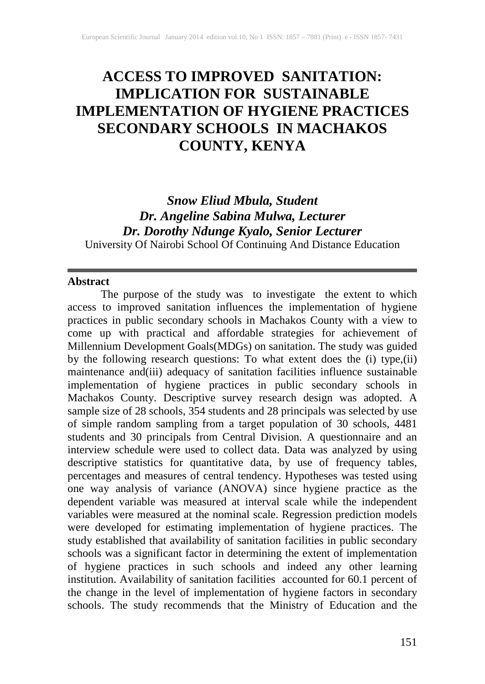# **ACCESS TO IMPROVED SANITATION: IMPLICATION FOR SUSTAINABLE IMPLEMENTATION OF HYGIENE PRACTICES SECONDARY SCHOOLS IN MACHAKOS COUNTY, KENYA**

# *Snow Eliud Mbula, Student Dr. Angeline Sabina Mulwa, Lecturer Dr. Dorothy Ndunge Kyalo, Senior Lecturer* University Of Nairobi School Of Continuing And Distance Education

#### **Abstract**

The purpose of the study was to investigate the extent to which access to improved sanitation influences the implementation of hygiene practices in public secondary schools in Machakos County with a view to come up with practical and affordable strategies for achievement of Millennium Development Goals(MDGs) on sanitation. The study was guided by the following research questions: To what extent does the (i) type,(ii) maintenance and(iii) adequacy of sanitation facilities influence sustainable implementation of hygiene practices in public secondary schools in Machakos County. Descriptive survey research design was adopted. A sample size of 28 schools, 354 students and 28 principals was selected by use of simple random sampling from a target population of 30 schools, 4481 students and 30 principals from Central Division. A questionnaire and an interview schedule were used to collect data. Data was analyzed by using descriptive statistics for quantitative data, by use of frequency tables, percentages and measures of central tendency. Hypotheses was tested using one way analysis of variance (ANOVA) since hygiene practice as the dependent variable was measured at interval scale while the independent variables were measured at the nominal scale. Regression prediction models were developed for estimating implementation of hygiene practices. The study established that availability of sanitation facilities in public secondary schools was a significant factor in determining the extent of implementation of hygiene practices in such schools and indeed any other learning institution. Availability of sanitation facilities accounted for 60.1 percent of the change in the level of implementation of hygiene factors in secondary schools. The study recommends that the Ministry of Education and the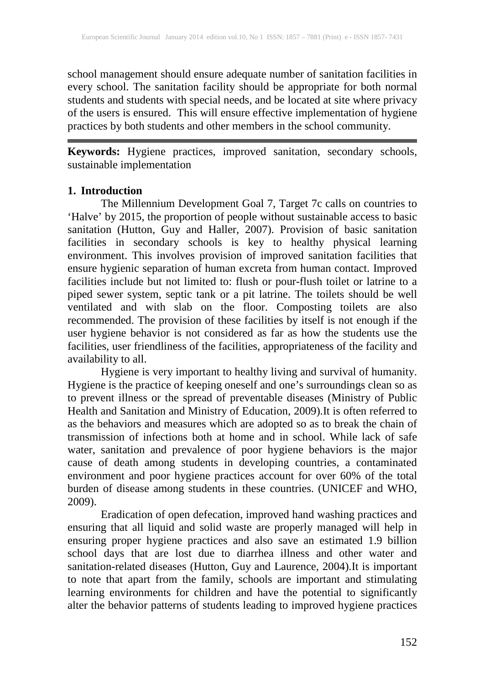school management should ensure adequate number of sanitation facilities in every school. The sanitation facility should be appropriate for both normal students and students with special needs, and be located at site where privacy of the users is ensured. This will ensure effective implementation of hygiene practices by both students and other members in the school community.

**Keywords:** Hygiene practices, improved sanitation, secondary schools, sustainable implementation

# **1. Introduction**

The Millennium Development Goal 7, Target 7c calls on countries to 'Halve' by 2015, the proportion of people without sustainable access to basic sanitation (Hutton, Guy and Haller, 2007). Provision of basic sanitation facilities in secondary schools is key to healthy physical learning environment. This involves provision of improved sanitation facilities that ensure hygienic separation of human excreta from human contact. Improved facilities include but not limited to: flush or pour-flush toilet or latrine to a piped sewer system, septic tank or a pit latrine. The toilets should be well ventilated and with slab on the floor. Composting toilets are also recommended. The provision of these facilities by itself is not enough if the user hygiene behavior is not considered as far as how the students use the facilities, user friendliness of the facilities, appropriateness of the facility and availability to all.

Hygiene is very important to healthy living and survival of humanity. Hygiene is the practice of keeping oneself and one's surroundings clean so as to prevent illness or the spread of preventable diseases (Ministry of Public Health and Sanitation and Ministry of Education, 2009).It is often referred to as the behaviors and measures which are adopted so as to break the chain of transmission of infections both at home and in school. While lack of safe water, sanitation and prevalence of poor hygiene behaviors is the major cause of death among students in developing countries, a contaminated environment and poor hygiene practices account for over 60% of the total burden of disease among students in these countries. (UNICEF and WHO, 2009).

Eradication of open defecation, improved hand washing practices and ensuring that all liquid and solid waste are properly managed will help in ensuring proper hygiene practices and also save an estimated 1.9 billion school days that are lost due to diarrhea illness and other water and sanitation-related diseases (Hutton, Guy and Laurence, 2004).It is important to note that apart from the family, schools are important and stimulating learning environments for children and have the potential to significantly alter the behavior patterns of students leading to improved hygiene practices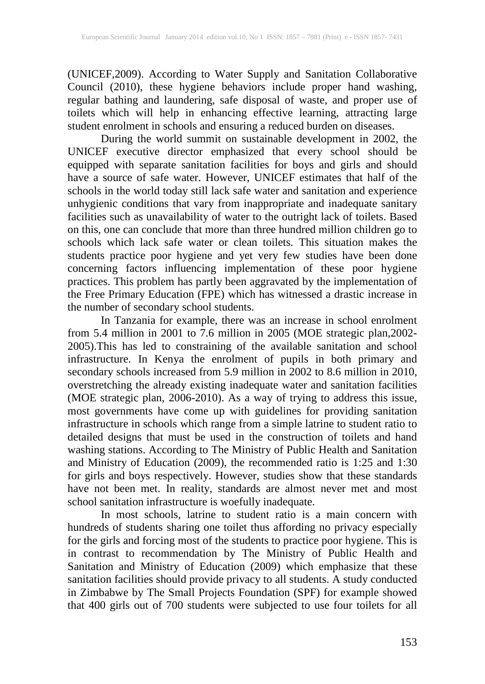(UNICEF,2009). According to Water Supply and Sanitation Collaborative Council (2010), these hygiene behaviors include proper hand washing, regular bathing and laundering, safe disposal of waste, and proper use of toilets which will help in enhancing effective learning, attracting large student enrolment in schools and ensuring a reduced burden on diseases.

During the world summit on sustainable development in 2002, the UNICEF executive director emphasized that every school should be equipped with separate sanitation facilities for boys and girls and should have a source of safe water. However, UNICEF estimates that half of the schools in the world today still lack safe water and sanitation and experience unhygienic conditions that vary from inappropriate and inadequate sanitary facilities such as unavailability of water to the outright lack of toilets. Based on this, one can conclude that more than three hundred million children go to schools which lack safe water or clean toilets. This situation makes the students practice poor hygiene and yet very few studies have been done concerning factors influencing implementation of these poor hygiene practices. This problem has partly been aggravated by the implementation of the Free Primary Education (FPE) which has witnessed a drastic increase in the number of secondary school students.

In Tanzania for example, there was an increase in school enrolment from 5.4 million in 2001 to 7.6 million in 2005 (MOE strategic plan,2002- 2005).This has led to constraining of the available sanitation and school infrastructure. In Kenya the enrolment of pupils in both primary and secondary schools increased from 5.9 million in 2002 to 8.6 million in 2010, overstretching the already existing inadequate water and sanitation facilities (MOE strategic plan, 2006-2010). As a way of trying to address this issue, most governments have come up with guidelines for providing sanitation infrastructure in schools which range from a simple latrine to student ratio to detailed designs that must be used in the construction of toilets and hand washing stations. According to The Ministry of Public Health and Sanitation and Ministry of Education (2009), the recommended ratio is 1:25 and 1:30 for girls and boys respectively. However, studies show that these standards have not been met. In reality, standards are almost never met and most school sanitation infrastructure is woefully inadequate.

In most schools, latrine to student ratio is a main concern with hundreds of students sharing one toilet thus affording no privacy especially for the girls and forcing most of the students to practice poor hygiene. This is in contrast to recommendation by The Ministry of Public Health and Sanitation and Ministry of Education (2009) which emphasize that these sanitation facilities should provide privacy to all students. A study conducted in Zimbabwe by The Small Projects Foundation (SPF) for example showed that 400 girls out of 700 students were subjected to use four toilets for all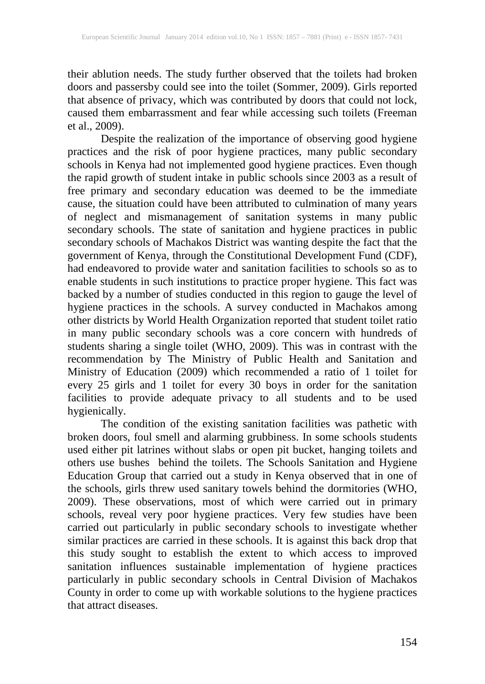their ablution needs. The study further observed that the toilets had broken doors and passersby could see into the toilet (Sommer, 2009). Girls reported that absence of privacy, which was contributed by doors that could not lock, caused them embarrassment and fear while accessing such toilets (Freeman et al., 2009).

Despite the realization of the importance of observing good hygiene practices and the risk of poor hygiene practices, many public secondary schools in Kenya had not implemented good hygiene practices. Even though the rapid growth of student intake in public schools since 2003 as a result of free primary and secondary education was deemed to be the immediate cause, the situation could have been attributed to culmination of many years of neglect and mismanagement of sanitation systems in many public secondary schools. The state of sanitation and hygiene practices in public secondary schools of Machakos District was wanting despite the fact that the government of Kenya, through the Constitutional Development Fund (CDF), had endeavored to provide water and sanitation facilities to schools so as to enable students in such institutions to practice proper hygiene. This fact was backed by a number of studies conducted in this region to gauge the level of hygiene practices in the schools. A survey conducted in Machakos among other districts by World Health Organization reported that student toilet ratio in many public secondary schools was a core concern with hundreds of students sharing a single toilet (WHO, 2009). This was in contrast with the recommendation by The Ministry of Public Health and Sanitation and Ministry of Education (2009) which recommended a ratio of 1 toilet for every 25 girls and 1 toilet for every 30 boys in order for the sanitation facilities to provide adequate privacy to all students and to be used hygienically.

The condition of the existing sanitation facilities was pathetic with broken doors, foul smell and alarming grubbiness. In some schools students used either pit latrines without slabs or open pit bucket, hanging toilets and others use bushes behind the toilets. The Schools Sanitation and Hygiene Education Group that carried out a study in Kenya observed that in one of the schools, girls threw used sanitary towels behind the dormitories (WHO, 2009). These observations, most of which were carried out in primary schools, reveal very poor hygiene practices. Very few studies have been carried out particularly in public secondary schools to investigate whether similar practices are carried in these schools. It is against this back drop that this study sought to establish the extent to which access to improved sanitation influences sustainable implementation of hygiene practices particularly in public secondary schools in Central Division of Machakos County in order to come up with workable solutions to the hygiene practices that attract diseases.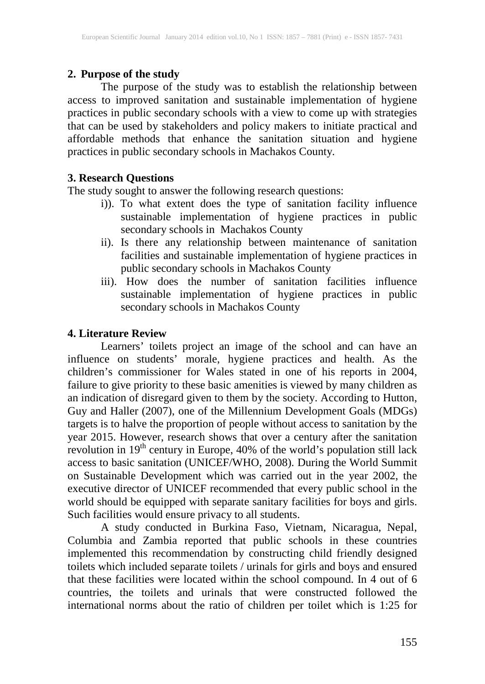# **2. Purpose of the study**

The purpose of the study was to establish the relationship between access to improved sanitation and sustainable implementation of hygiene practices in public secondary schools with a view to come up with strategies that can be used by stakeholders and policy makers to initiate practical and affordable methods that enhance the sanitation situation and hygiene practices in public secondary schools in Machakos County.

# **3. Research Questions**

The study sought to answer the following research questions:

- i)). To what extent does the type of sanitation facility influence sustainable implementation of hygiene practices in public secondary schools in Machakos County
- ii). Is there any relationship between maintenance of sanitation facilities and sustainable implementation of hygiene practices in public secondary schools in Machakos County
- iii). How does the number of sanitation facilities influence sustainable implementation of hygiene practices in public secondary schools in Machakos County

# **4. Literature Review**

Learners' toilets project an image of the school and can have an influence on students' morale, hygiene practices and health. As the children's commissioner for Wales stated in one of his reports in 2004, failure to give priority to these basic amenities is viewed by many children as an indication of disregard given to them by the society. According to Hutton, Guy and Haller (2007), one of the Millennium Development Goals (MDGs) targets is to halve the proportion of people without access to sanitation by the year 2015. However, research shows that over a century after the sanitation revolution in 19<sup>th</sup> century in Europe, 40% of the world's population still lack access to basic sanitation (UNICEF/WHO, 2008). During the World Summit on Sustainable Development which was carried out in the year 2002, the executive director of UNICEF recommended that every public school in the world should be equipped with separate sanitary facilities for boys and girls. Such facilities would ensure privacy to all students.

A study conducted in Burkina Faso, Vietnam, Nicaragua, Nepal, Columbia and Zambia reported that public schools in these countries implemented this recommendation by constructing child friendly designed toilets which included separate toilets / urinals for girls and boys and ensured that these facilities were located within the school compound. In 4 out of 6 countries, the toilets and urinals that were constructed followed the international norms about the ratio of children per toilet which is 1:25 for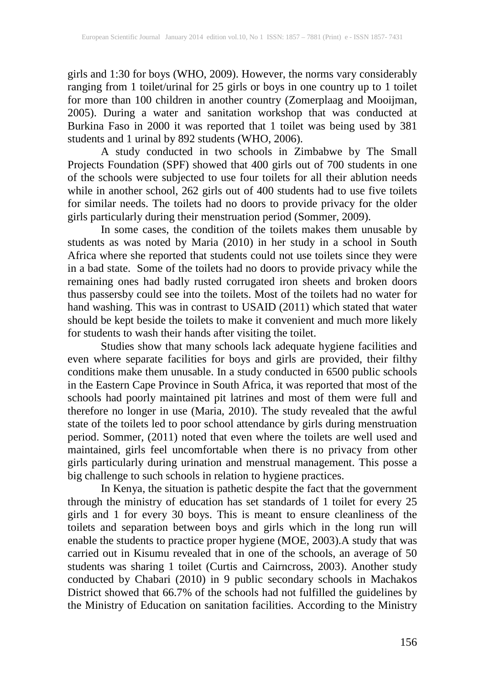girls and 1:30 for boys (WHO, 2009). However, the norms vary considerably ranging from 1 toilet/urinal for 25 girls or boys in one country up to 1 toilet for more than 100 children in another country (Zomerplaag and Mooijman, 2005). During a water and sanitation workshop that was conducted at Burkina Faso in 2000 it was reported that 1 toilet was being used by 381 students and 1 urinal by 892 students (WHO, 2006).

A study conducted in two schools in Zimbabwe by The Small Projects Foundation (SPF) showed that 400 girls out of 700 students in one of the schools were subjected to use four toilets for all their ablution needs while in another school, 262 girls out of 400 students had to use five toilets for similar needs. The toilets had no doors to provide privacy for the older girls particularly during their menstruation period (Sommer, 2009).

In some cases, the condition of the toilets makes them unusable by students as was noted by Maria (2010) in her study in a school in South Africa where she reported that students could not use toilets since they were in a bad state. Some of the toilets had no doors to provide privacy while the remaining ones had badly rusted corrugated iron sheets and broken doors thus passersby could see into the toilets. Most of the toilets had no water for hand washing. This was in contrast to USAID (2011) which stated that water should be kept beside the toilets to make it convenient and much more likely for students to wash their hands after visiting the toilet.

Studies show that many schools lack adequate hygiene facilities and even where separate facilities for boys and girls are provided, their filthy conditions make them unusable. In a study conducted in 6500 public schools in the Eastern Cape Province in South Africa, it was reported that most of the schools had poorly maintained pit latrines and most of them were full and therefore no longer in use (Maria, 2010). The study revealed that the awful state of the toilets led to poor school attendance by girls during menstruation period. Sommer, (2011) noted that even where the toilets are well used and maintained, girls feel uncomfortable when there is no privacy from other girls particularly during urination and menstrual management. This posse a big challenge to such schools in relation to hygiene practices.

In Kenya, the situation is pathetic despite the fact that the government through the ministry of education has set standards of 1 toilet for every 25 girls and 1 for every 30 boys. This is meant to ensure cleanliness of the toilets and separation between boys and girls which in the long run will enable the students to practice proper hygiene (MOE, 2003).A study that was carried out in Kisumu revealed that in one of the schools, an average of 50 students was sharing 1 toilet (Curtis and Cairncross, 2003). Another study conducted by Chabari (2010) in 9 public secondary schools in Machakos District showed that 66.7% of the schools had not fulfilled the guidelines by the Ministry of Education on sanitation facilities. According to the Ministry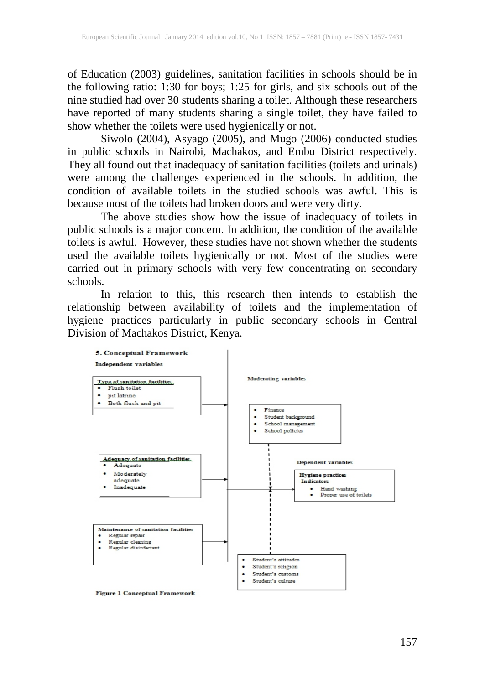of Education (2003) guidelines, sanitation facilities in schools should be in the following ratio: 1:30 for boys; 1:25 for girls, and six schools out of the nine studied had over 30 students sharing a toilet. Although these researchers have reported of many students sharing a single toilet, they have failed to show whether the toilets were used hygienically or not.

Siwolo (2004), Asyago (2005), and Mugo (2006) conducted studies in public schools in Nairobi, Machakos, and Embu District respectively. They all found out that inadequacy of sanitation facilities (toilets and urinals) were among the challenges experienced in the schools. In addition, the condition of available toilets in the studied schools was awful. This is because most of the toilets had broken doors and were very dirty.

The above studies show how the issue of inadequacy of toilets in public schools is a major concern. In addition, the condition of the available toilets is awful. However, these studies have not shown whether the students used the available toilets hygienically or not. Most of the studies were carried out in primary schools with very few concentrating on secondary schools.

In relation to this, this research then intends to establish the relationship between availability of toilets and the implementation of hygiene practices particularly in public secondary schools in Central Division of Machakos District, Kenya.



**Figure 1 Conceptual Framework**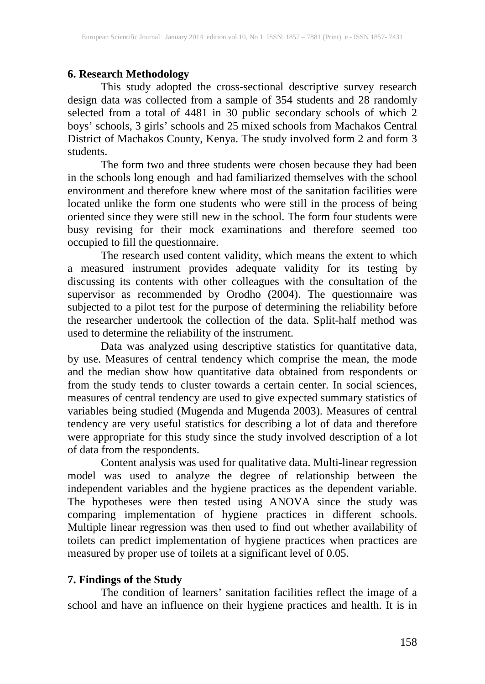#### **6. Research Methodology**

This study adopted the cross-sectional descriptive survey research design data was collected from a sample of 354 students and 28 randomly selected from a total of 4481 in 30 public secondary schools of which 2 boys' schools, 3 girls' schools and 25 mixed schools from Machakos Central District of Machakos County, Kenya. The study involved form 2 and form 3 students.

The form two and three students were chosen because they had been in the schools long enough and had familiarized themselves with the school environment and therefore knew where most of the sanitation facilities were located unlike the form one students who were still in the process of being oriented since they were still new in the school. The form four students were busy revising for their mock examinations and therefore seemed too occupied to fill the questionnaire.

The research used content validity, which means the extent to which a measured instrument provides adequate validity for its testing by discussing its contents with other colleagues with the consultation of the supervisor as recommended by Orodho (2004). The questionnaire was subjected to a pilot test for the purpose of determining the reliability before the researcher undertook the collection of the data. Split-half method was used to determine the reliability of the instrument.

Data was analyzed using descriptive statistics for quantitative data, by use. Measures of central tendency which comprise the mean, the mode and the median show how quantitative data obtained from respondents or from the study tends to cluster towards a certain center. In social sciences, measures of central tendency are used to give expected summary statistics of variables being studied (Mugenda and Mugenda 2003). Measures of central tendency are very useful statistics for describing a lot of data and therefore were appropriate for this study since the study involved description of a lot of data from the respondents.

Content analysis was used for qualitative data. Multi-linear regression model was used to analyze the degree of relationship between the independent variables and the hygiene practices as the dependent variable. The hypotheses were then tested using ANOVA since the study was comparing implementation of hygiene practices in different schools. Multiple linear regression was then used to find out whether availability of toilets can predict implementation of hygiene practices when practices are measured by proper use of toilets at a significant level of 0.05.

# **7. Findings of the Study**

The condition of learners' sanitation facilities reflect the image of a school and have an influence on their hygiene practices and health. It is in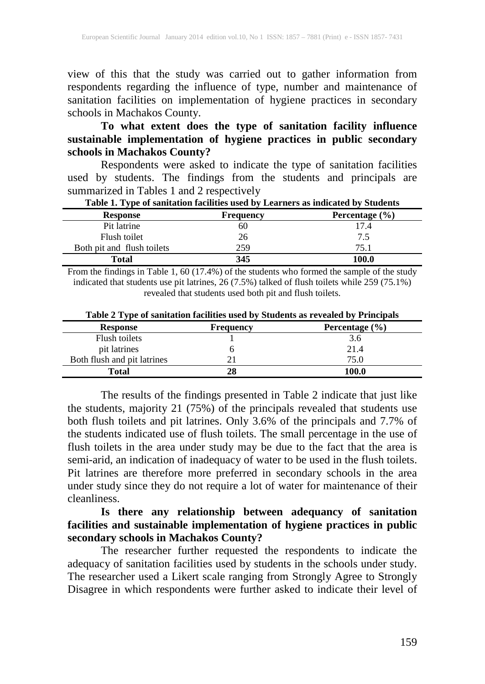view of this that the study was carried out to gather information from respondents regarding the influence of type, number and maintenance of sanitation facilities on implementation of hygiene practices in secondary schools in Machakos County.

# **To what extent does the type of sanitation facility influence sustainable implementation of hygiene practices in public secondary schools in Machakos County?**

Respondents were asked to indicate the type of sanitation facilities used by students. The findings from the students and principals are summarized in Tables 1 and 2 respectively

| . .                        |                  |                    |
|----------------------------|------------------|--------------------|
| <b>Response</b>            | <b>Frequency</b> | Percentage $(\% )$ |
| Pit latrine                | 60               | 17.4               |
| Flush toilet               | 26               | 7.5                |
| Both pit and flush toilets | 259              | 75.1               |
| Total                      | 345              | 100.0              |

**Table 1. Type of sanitation facilities used by Learners as indicated by Students**

From the findings in Table 1, 60 (17.4%) of the students who formed the sample of the study indicated that students use pit latrines, 26 (7.5%) talked of flush toilets while 259 (75.1%) revealed that students used both pit and flush toilets.

| <b>Response</b>             | <b>Frequency</b> | Percentage $(\% )$ |
|-----------------------------|------------------|--------------------|
| Flush toilets               |                  | 3.6                |
| pit latrines                |                  | 21.4               |
| Both flush and pit latrines |                  | 75.0               |
| Total                       | 28               | 100.0              |

**Table 2 Type of sanitation facilities used by Students as revealed by Principals**

The results of the findings presented in Table 2 indicate that just like the students, majority 21 (75%) of the principals revealed that students use both flush toilets and pit latrines. Only 3.6% of the principals and 7.7% of the students indicated use of flush toilets. The small percentage in the use of flush toilets in the area under study may be due to the fact that the area is semi-arid, an indication of inadequacy of water to be used in the flush toilets. Pit latrines are therefore more preferred in secondary schools in the area under study since they do not require a lot of water for maintenance of their cleanliness.

**Is there any relationship between adequancy of sanitation facilities and sustainable implementation of hygiene practices in public secondary schools in Machakos County?**

The researcher further requested the respondents to indicate the adequacy of sanitation facilities used by students in the schools under study. The researcher used a Likert scale ranging from Strongly Agree to Strongly Disagree in which respondents were further asked to indicate their level of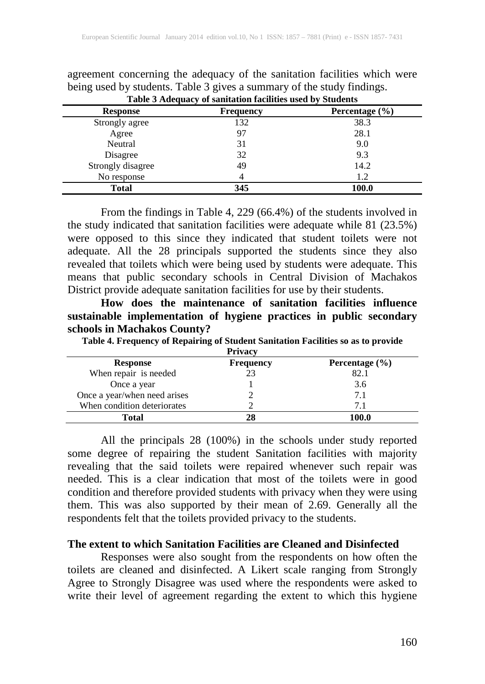| Table 3 Adequacy of sanitation facilities used by Students |     |       |  |  |  |
|------------------------------------------------------------|-----|-------|--|--|--|
| Percentage $(\% )$<br><b>Response</b><br><b>Frequency</b>  |     |       |  |  |  |
| Strongly agree                                             | 132 | 38.3  |  |  |  |
| Agree                                                      | 97  | 28.1  |  |  |  |
| Neutral                                                    | 31  | 9.0   |  |  |  |
| Disagree                                                   | 32  | 9.3   |  |  |  |
| Strongly disagree                                          | 49  | 14.2  |  |  |  |
| No response                                                |     | 1.2   |  |  |  |
| Total                                                      | 345 | 100.0 |  |  |  |

agreement concerning the adequacy of the sanitation facilities which were being used by students. Table 3 gives a summary of the study findings.

From the findings in Table 4, 229 (66.4%) of the students involved in the study indicated that sanitation facilities were adequate while 81 (23.5%) were opposed to this since they indicated that student toilets were not adequate. All the 28 principals supported the students since they also revealed that toilets which were being used by students were adequate. This means that public secondary schools in Central Division of Machakos District provide adequate sanitation facilities for use by their students.

**How does the maintenance of sanitation facilities influence sustainable implementation of hygiene practices in public secondary schools in Machakos County?**

**Table 4. Frequency of Repairing of Student Sanitation Facilities so as to provide**

|                              | <b>Privacy</b>   |                    |
|------------------------------|------------------|--------------------|
| <b>Response</b>              | <b>Frequency</b> | Percentage $(\% )$ |
| When repair is needed        | 23               | 82.1               |
| Once a year                  |                  | 3.6                |
| Once a year/when need arises |                  | 7.1                |
| When condition deteriorates  |                  | 71                 |
| Total                        |                  | 100.0              |

All the principals 28 (100%) in the schools under study reported some degree of repairing the student Sanitation facilities with majority revealing that the said toilets were repaired whenever such repair was needed. This is a clear indication that most of the toilets were in good condition and therefore provided students with privacy when they were using them. This was also supported by their mean of 2.69. Generally all the respondents felt that the toilets provided privacy to the students.

#### **The extent to which Sanitation Facilities are Cleaned and Disinfected**

Responses were also sought from the respondents on how often the toilets are cleaned and disinfected. A Likert scale ranging from Strongly Agree to Strongly Disagree was used where the respondents were asked to write their level of agreement regarding the extent to which this hygiene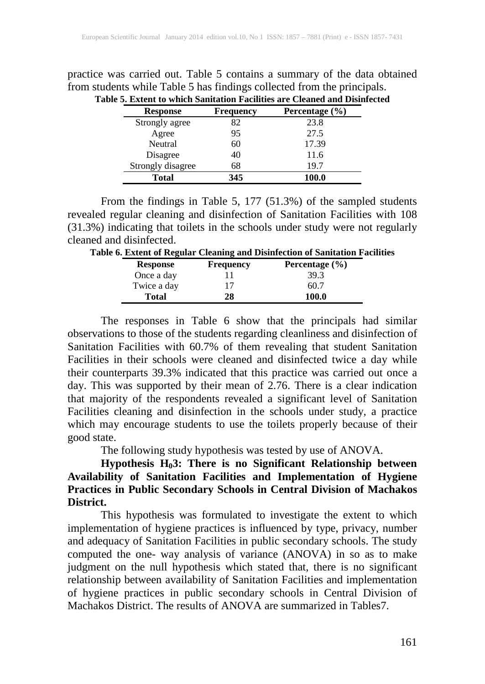| practice was carried out. Table 5 contains a summary of the data obtained  |
|----------------------------------------------------------------------------|
| from students while Table 5 has findings collected from the principals.    |
| Table 5. Extent to which Sanitation Facilities are Cleaned and Disinfected |

| <b>Response</b>   | <b>Frequency</b> | Percentage $(\% )$ |
|-------------------|------------------|--------------------|
| Strongly agree    | 82               | 23.8               |
| Agree             | 95               | 27.5               |
| Neutral           | 60               | 17.39              |
| Disagree          | 40               | 11.6               |
| Strongly disagree | 68               | 19.7               |
| Total             | 345              | 100.0              |

From the findings in Table 5, 177 (51.3%) of the sampled students revealed regular cleaning and disinfection of Sanitation Facilities with 108 (31.3%) indicating that toilets in the schools under study were not regularly cleaned and disinfected.

| Table 6. Extent of Regular Cleaning and Disinfection of Sanitation Facilities |                  |                    |  |  |
|-------------------------------------------------------------------------------|------------------|--------------------|--|--|
| <b>Response</b>                                                               | <b>Frequency</b> | Percentage $(\% )$ |  |  |
| Once a day                                                                    |                  | 39.3               |  |  |
| Twice a day                                                                   |                  | 60.7               |  |  |
| <b>Total</b>                                                                  | 28               | 100.0              |  |  |

The responses in Table 6 show that the principals had similar observations to those of the students regarding cleanliness and disinfection of Sanitation Facilities with 60.7% of them revealing that student Sanitation Facilities in their schools were cleaned and disinfected twice a day while their counterparts 39.3% indicated that this practice was carried out once a day. This was supported by their mean of 2.76. There is a clear indication that majority of the respondents revealed a significant level of Sanitation Facilities cleaning and disinfection in the schools under study, a practice which may encourage students to use the toilets properly because of their good state.

The following study hypothesis was tested by use of ANOVA.

**Hypothesis H03: There is no Significant Relationship between Availability of Sanitation Facilities and Implementation of Hygiene Practices in Public Secondary Schools in Central Division of Machakos District.**

This hypothesis was formulated to investigate the extent to which implementation of hygiene practices is influenced by type, privacy, number and adequacy of Sanitation Facilities in public secondary schools. The study computed the one- way analysis of variance (ANOVA) in so as to make judgment on the null hypothesis which stated that, there is no significant relationship between availability of Sanitation Facilities and implementation of hygiene practices in public secondary schools in Central Division of Machakos District. The results of ANOVA are summarized in Tables7.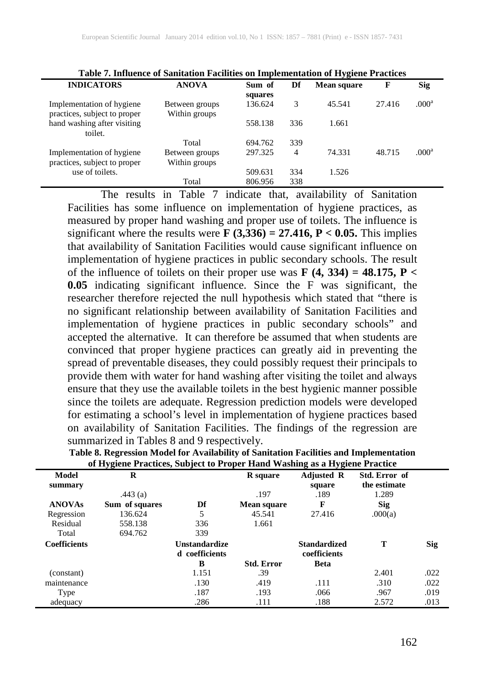|                                                           | raoic ++ minachec or cammanon racmines on miprementation or my grene racences |                   |     |                    |        |                   |
|-----------------------------------------------------------|-------------------------------------------------------------------------------|-------------------|-----|--------------------|--------|-------------------|
| <b>INDICATORS</b>                                         | <b>ANOVA</b>                                                                  | Sum of<br>squares | Df  | <b>Mean square</b> | F      | <b>Sig</b>        |
| Implementation of hygiene<br>practices, subject to proper | Between groups<br>Within groups                                               | 136.624           | 3   | 45.541             | 27.416 | .000 <sup>a</sup> |
| hand washing after visiting<br>toilet.                    |                                                                               | 558.138           | 336 | 1.661              |        |                   |
|                                                           | Total                                                                         | 694.762           | 339 |                    |        |                   |
| Implementation of hygiene<br>practices, subject to proper | Between groups<br>Within groups                                               | 297.325           | 4   | 74.331             | 48.715 | .000 <sup>a</sup> |
| use of toilets.                                           |                                                                               | 509.631           | 334 | 1.526              |        |                   |
|                                                           | Total                                                                         | 806.956           | 338 |                    |        |                   |

**Table 7. Influence of Sanitation Facilities on Implementation of Hygiene Practices**

The results in Table 7 indicate that, availability of Sanitation Facilities has some influence on implementation of hygiene practices, as measured by proper hand washing and proper use of toilets. The influence is significant where the results were **F (3,336) = 27.416, P < 0.05.** This implies that availability of Sanitation Facilities would cause significant influence on implementation of hygiene practices in public secondary schools. The result of the influence of toilets on their proper use was **F**  $(4, 334) = 48.175$ , **P** < **0.05** indicating significant influence. Since the F was significant, the researcher therefore rejected the null hypothesis which stated that "there is no significant relationship between availability of Sanitation Facilities and implementation of hygiene practices in public secondary schools" and accepted the alternative. It can therefore be assumed that when students are convinced that proper hygiene practices can greatly aid in preventing the spread of preventable diseases, they could possibly request their principals to provide them with water for hand washing after visiting the toilet and always ensure that they use the available toilets in the best hygienic manner possible since the toilets are adequate. Regression prediction models were developed for estimating a school's level in implementation of hygiene practices based on availability of Sanitation Facilities. The findings of the regression are summarized in Tables 8 and 9 respectively.

|                     | of Hygiene I Factices, Subject to Froper Thang washing as a Hygiene I factice |                                        |                    |                                     |                               |            |
|---------------------|-------------------------------------------------------------------------------|----------------------------------------|--------------------|-------------------------------------|-------------------------------|------------|
| Model<br>summary    | R                                                                             |                                        | R square           | <b>Adjusted R</b><br>square         | Std. Error of<br>the estimate |            |
|                     | .443 $(a)$                                                                    |                                        | .197               | .189                                | 1.289                         |            |
| <b>ANOVAs</b>       | Sum of squares                                                                | Df                                     | <b>Mean square</b> | F                                   | <b>Sig</b>                    |            |
| Regression          | 136.624                                                                       | 5                                      | 45.541             | 27.416                              | .000(a)                       |            |
| Residual            | 558.138                                                                       | 336                                    | 1.661              |                                     |                               |            |
| Total               | 694.762                                                                       | 339                                    |                    |                                     |                               |            |
| <b>Coefficients</b> |                                                                               | <b>Unstandardize</b><br>d coefficients |                    | <b>Standardized</b><br>coefficients | Т                             | <b>Sig</b> |
|                     |                                                                               | B                                      | <b>Std. Error</b>  | <b>Beta</b>                         |                               |            |
| (constant)          |                                                                               | 1.151                                  | .39                |                                     | 2.401                         | .022       |
| maintenance         |                                                                               | .130                                   | .419               | .111                                | .310                          | .022       |
| Type                |                                                                               | .187                                   | .193               | .066                                | .967                          | .019       |
| adequacy            |                                                                               | .286                                   | .111               | .188                                | 2.572                         | .013       |

| Table 8. Regression Model for Availability of Sanitation Facilities and Implementation |
|----------------------------------------------------------------------------------------|
| of Hygiene Practices, Subject to Proper Hand Washing as a Hygiene Practice             |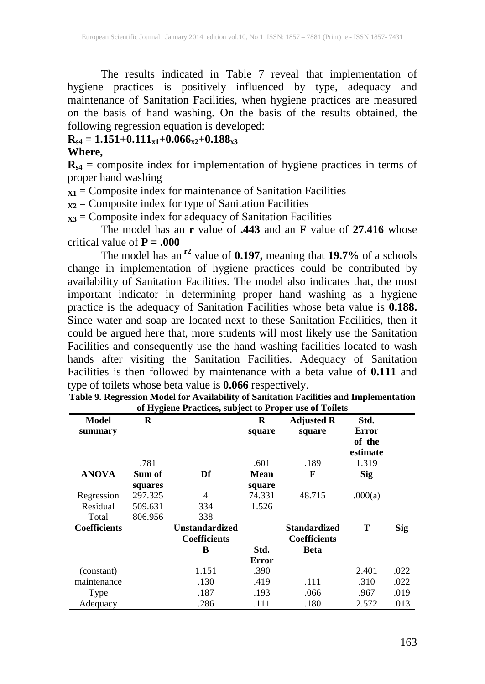The results indicated in Table 7 reveal that implementation of hygiene practices is positively influenced by type, adequacy and maintenance of Sanitation Facilities, when hygiene practices are measured on the basis of hand washing. On the basis of the results obtained, the following regression equation is developed:

# $R_{s4} = 1.151 + 0.111_{x1} + 0.066_{x2} + 0.188_{x3}$

#### **Where,**

 $R_{s4}$  = composite index for implementation of hygiene practices in terms of proper hand washing

 $\overline{x_1}$  = Composite index for maintenance of Sanitation Facilities

 $\mathbf{x_2}$  = Composite index for type of Sanitation Facilities

 **= Composite index for adequacy of Sanitation Facilities** 

The model has an **r** value of **.443** and an **F** value of **27.416** whose critical value of  $P = .000$ 

The model has an **r2** value of **0.197,** meaning that **19.7%** of a schools change in implementation of hygiene practices could be contributed by availability of Sanitation Facilities. The model also indicates that, the most important indicator in determining proper hand washing as a hygiene practice is the adequacy of Sanitation Facilities whose beta value is **0.188.**  Since water and soap are located next to these Sanitation Facilities, then it could be argued here that, more students will most likely use the Sanitation Facilities and consequently use the hand washing facilities located to wash hands after visiting the Sanitation Facilities. Adequacy of Sanitation Facilities is then followed by maintenance with a beta value of **0.111** and type of toilets whose beta value is **0.066** respectively.

|                                 |                                          | of $\mathbf{r}_i$ given a ructices, subject to a roper that of a officis |                           |                                     |                                     |            |
|---------------------------------|------------------------------------------|--------------------------------------------------------------------------|---------------------------|-------------------------------------|-------------------------------------|------------|
| Model<br>summary                | R                                        |                                                                          | R<br>square               | <b>Adjusted R</b><br>square         | Std.<br>Error<br>of the<br>estimate |            |
|                                 | .781                                     |                                                                          | .601                      | .189                                | 1.319                               |            |
| <b>ANOVA</b>                    | Sum of                                   | Df                                                                       | Mean                      | F                                   | <b>Sig</b>                          |            |
| Regression<br>Residual<br>Total | squares<br>297.325<br>509.631<br>806.956 | 4<br>334<br>338                                                          | square<br>74.331<br>1.526 | 48.715                              | .000(a)                             |            |
| <b>Coefficients</b>             |                                          | <b>Unstandardized</b><br><b>Coefficients</b>                             |                           | Standardized<br><b>Coefficients</b> | T                                   | <b>Sig</b> |
|                                 |                                          | B                                                                        | Std.                      | Beta                                |                                     |            |
|                                 |                                          |                                                                          | <b>Error</b>              |                                     |                                     |            |
| (constant)                      |                                          | 1.151                                                                    | .390                      |                                     | 2.401                               | .022       |
| maintenance                     |                                          | .130                                                                     | .419                      | .111                                | .310                                | .022       |
| Type                            |                                          | .187                                                                     | .193                      | .066                                | .967                                | .019       |
| Adequacy                        |                                          | .286                                                                     | .111                      | .180                                | 2.572                               | .013       |

| Table 9. Regression Model for Availability of Sanitation Facilities and Implementation |
|----------------------------------------------------------------------------------------|
| of Hygiene Practices, subject to Proper use of Toilets                                 |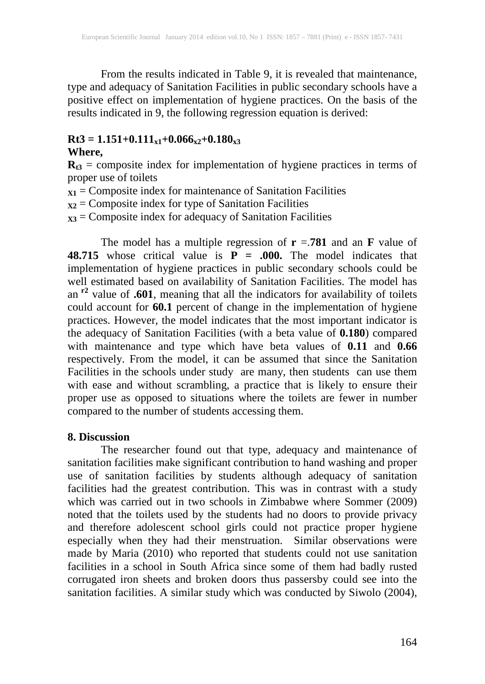From the results indicated in Table 9, it is revealed that maintenance, type and adequacy of Sanitation Facilities in public secondary schools have a positive effect on implementation of hygiene practices. On the basis of the results indicated in 9, the following regression equation is derived:

#### $Rt3 = 1.151+0.111_{x1}+0.066_{x2}+0.180_{x3}$

#### **Where,**

 $R_{t3}$  = composite index for implementation of hygiene practices in terms of proper use of toilets

- $\mathbf{x}_1 = \mathbf{Composite}$  index for maintenance of Sanitation Facilities
- **X2** = Composite index for type of Sanitation Facilities

**X3** = Composite index for adequacy of Sanitation Facilities

The model has a multiple regression of  $\mathbf{r} = .781$  and an **F** value of **48.715** whose critical value is  $P = .000$ . The model indicates that implementation of hygiene practices in public secondary schools could be well estimated based on availability of Sanitation Facilities. The model has an **r2** value of **.601**, meaning that all the indicators for availability of toilets could account for **60.1** percent of change in the implementation of hygiene practices. However, the model indicates that the most important indicator is the adequacy of Sanitation Facilities (with a beta value of **0.180**) compared with maintenance and type which have beta values of **0.11** and **0.66** respectively. From the model, it can be assumed that since the Sanitation Facilities in the schools under study are many, then students can use them with ease and without scrambling, a practice that is likely to ensure their proper use as opposed to situations where the toilets are fewer in number compared to the number of students accessing them.

#### **8. Discussion**

The researcher found out that type, adequacy and maintenance of sanitation facilities make significant contribution to hand washing and proper use of sanitation facilities by students although adequacy of sanitation facilities had the greatest contribution. This was in contrast with a study which was carried out in two schools in Zimbabwe where Sommer (2009) noted that the toilets used by the students had no doors to provide privacy and therefore adolescent school girls could not practice proper hygiene especially when they had their menstruation. Similar observations were made by Maria (2010) who reported that students could not use sanitation facilities in a school in South Africa since some of them had badly rusted corrugated iron sheets and broken doors thus passersby could see into the sanitation facilities. A similar study which was conducted by Siwolo (2004),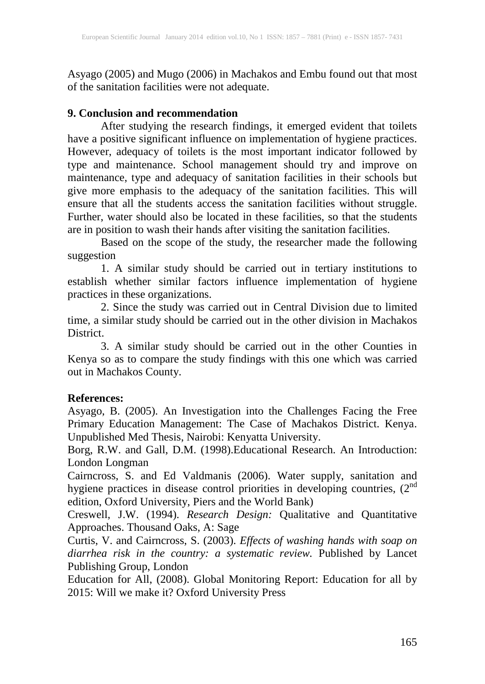Asyago (2005) and Mugo (2006) in Machakos and Embu found out that most of the sanitation facilities were not adequate.

#### **9. Conclusion and recommendation**

After studying the research findings, it emerged evident that toilets have a positive significant influence on implementation of hygiene practices. However, adequacy of toilets is the most important indicator followed by type and maintenance. School management should try and improve on maintenance, type and adequacy of sanitation facilities in their schools but give more emphasis to the adequacy of the sanitation facilities. This will ensure that all the students access the sanitation facilities without struggle. Further, water should also be located in these facilities, so that the students are in position to wash their hands after visiting the sanitation facilities.

Based on the scope of the study, the researcher made the following suggestion

1. A similar study should be carried out in tertiary institutions to establish whether similar factors influence implementation of hygiene practices in these organizations.

2. Since the study was carried out in Central Division due to limited time, a similar study should be carried out in the other division in Machakos District.

3. A similar study should be carried out in the other Counties in Kenya so as to compare the study findings with this one which was carried out in Machakos County.

# **References:**

Asyago, B. (2005). An Investigation into the Challenges Facing the Free Primary Education Management: The Case of Machakos District. Kenya. Unpublished Med Thesis, Nairobi: Kenyatta University.

Borg, R.W. and Gall, D.M. (1998).Educational Research. An Introduction: London Longman

Cairncross, S. and Ed Valdmanis (2006). Water supply, sanitation and hygiene practices in disease control priorities in developing countries,  $(2^{nd}$ edition, Oxford University, Piers and the World Bank)

Creswell, J.W. (1994). *Research Design:* Qualitative and Quantitative Approaches. Thousand Oaks, A: Sage

Curtis, V. and Cairncross, S. (2003). *Effects of washing hands with soap on diarrhea risk in the country: a systematic review.* Published by Lancet Publishing Group, London

Education for All, (2008). Global Monitoring Report: Education for all by 2015: Will we make it? Oxford University Press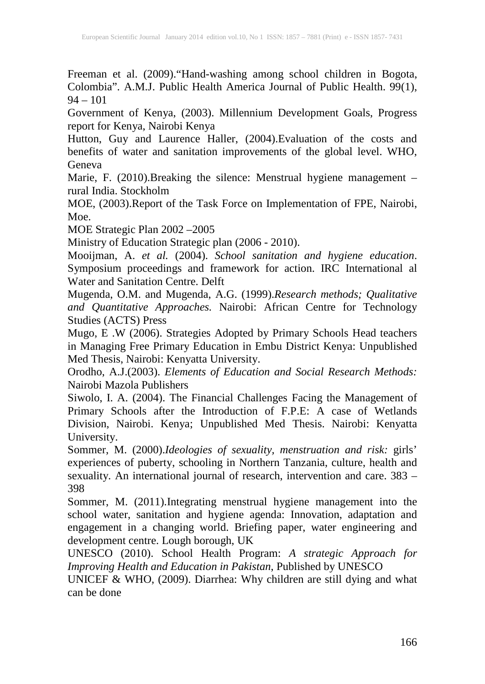Freeman et al. (2009)."Hand-washing among school children in Bogota, Colombia". A.M.J. Public Health America Journal of Public Health. 99(1),  $94 - 101$ 

Government of Kenya, (2003). Millennium Development Goals, Progress report for Kenya, Nairobi Kenya

Hutton, Guy and Laurence Haller, (2004).Evaluation of the costs and benefits of water and sanitation improvements of the global level. WHO, Geneva

Marie, F. (2010). Breaking the silence: Menstrual hygiene management – rural India. Stockholm

MOE, (2003).Report of the Task Force on Implementation of FPE, Nairobi, Moe.

MOE Strategic Plan 2002 –2005

Ministry of Education Strategic plan (2006 - 2010).

Mooijman, A. *et al.* (2004). *School sanitation and hygiene education*. Symposium proceedings and framework for action. IRC International al Water and Sanitation Centre. Delft Water and Sanitation Centre. Delft

Mugenda, O.M. and Mugenda, A.G. (1999).*Research methods; Qualitative and Quantitative Approaches.* Nairobi: African Centre for Technology Studies (ACTS) Press

Mugo, E .W (2006). Strategies Adopted by Primary Schools Head teachers in Managing Free Primary Education in Embu District Kenya: Unpublished Med Thesis, Nairobi: Kenyatta University.

Orodho, A.J.(2003). *Elements of Education and Social Research Methods:* Nairobi Mazola Publishers

Siwolo, I. A. (2004). The Financial Challenges Facing the Management of Primary Schools after the Introduction of F.P.E: A case of Wetlands Division, Nairobi. Kenya; Unpublished Med Thesis. Nairobi: Kenyatta University.

Sommer, M. (2000).*Ideologies of sexuality, menstruation and risk:* girls' experiences of puberty, schooling in Northern Tanzania, culture, health and sexuality. An international journal of research, intervention and care. 383 – 398

Sommer, M. (2011).Integrating menstrual hygiene management into the school water, sanitation and hygiene agenda: Innovation, adaptation and engagement in a changing world. Briefing paper, water engineering and development centre. Lough borough, UK

UNESCO (2010). School Health Program: *A strategic Approach for Improving Health and Education in Pakistan*, Published by UNESCO

UNICEF & WHO, (2009). Diarrhea: Why children are still dying and what can be done